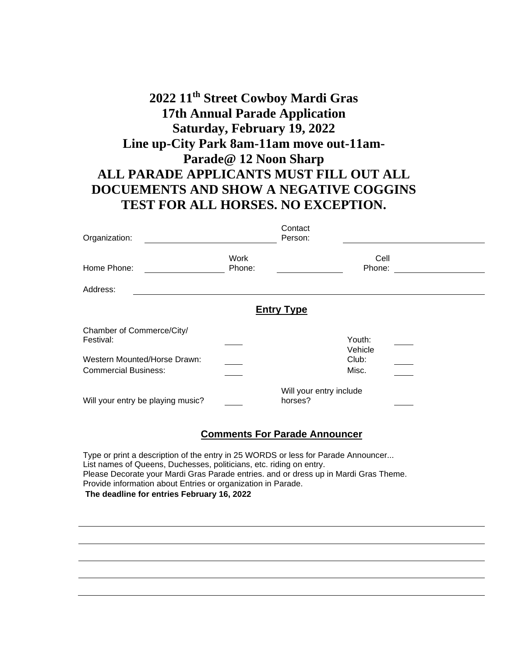## **2022 11th Street Cowboy Mardi Gras 17th Annual Parade Application Saturday, February 19, 2022 Line up-City Park 8am-11am move out-11am-Parade@ 12 Noon Sharp ALL PARADE APPLICANTS MUST FILL OUT ALL DOCUEMENTS AND SHOW A NEGATIVE COGGINS TEST FOR ALL HORSES. NO EXCEPTION.**

| Organization:                                                                                         |                | Contact<br>Person:                 |                                     |  |
|-------------------------------------------------------------------------------------------------------|----------------|------------------------------------|-------------------------------------|--|
| Home Phone:                                                                                           | Work<br>Phone: |                                    | Cell<br>Phone:                      |  |
| Address:                                                                                              |                |                                    |                                     |  |
| <b>Entry Type</b>                                                                                     |                |                                    |                                     |  |
| Chamber of Commerce/City/<br>Festival:<br>Western Mounted/Horse Drawn:<br><b>Commercial Business:</b> |                |                                    | Youth:<br>Vehicle<br>Club:<br>Misc. |  |
| Will your entry be playing music?                                                                     |                | Will your entry include<br>horses? |                                     |  |
| <b>Comments For Parade Announcer</b>                                                                  |                |                                    |                                     |  |

Type or print a description of the entry in 25 WORDS or less for Parade Announcer... List names of Queens, Duchesses, politicians, etc. riding on entry. Please Decorate your Mardi Gras Parade entries. and or dress up in Mardi Gras Theme. Provide information about Entries or organization in Parade. **The deadline for entries February 16, 2022**